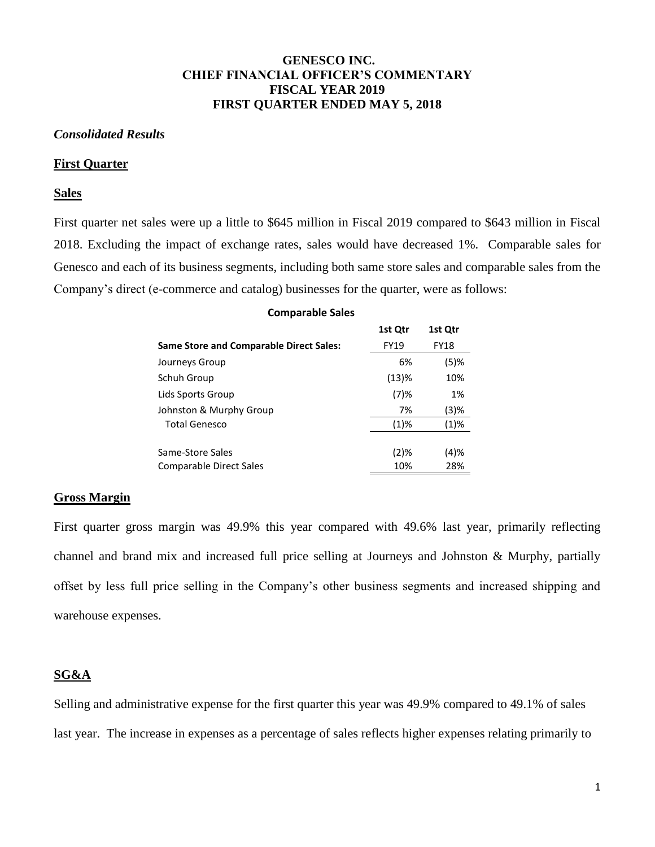## **GENESCO INC. CHIEF FINANCIAL OFFICER'S COMMENTARY FISCAL YEAR 2019 FIRST QUARTER ENDED MAY 5, 2018**

### *Consolidated Results*

#### **First Quarter**

### **Sales**

First quarter net sales were up a little to \$645 million in Fiscal 2019 compared to \$643 million in Fiscal 2018. Excluding the impact of exchange rates, sales would have decreased 1%. Comparable sales for Genesco and each of its business segments, including both same store sales and comparable sales from the Company's direct (e-commerce and catalog) businesses for the quarter, were as follows:

| <b>Comparable Sales</b>                        |             |             |  |  |  |
|------------------------------------------------|-------------|-------------|--|--|--|
|                                                | 1st Qtr     | 1st Qtr     |  |  |  |
| <b>Same Store and Comparable Direct Sales:</b> | <b>FY19</b> | <b>FY18</b> |  |  |  |
| Journeys Group                                 | 6%          | $(5)$ %     |  |  |  |
| Schuh Group                                    | (13)%       | 10%         |  |  |  |
| Lids Sports Group                              | $(7)$ %     | 1%          |  |  |  |
| Johnston & Murphy Group                        | 7%          | (3)%        |  |  |  |
| <b>Total Genesco</b>                           | (1)%        | (1)%        |  |  |  |
|                                                |             |             |  |  |  |
| Same-Store Sales                               | (2)%        | (4)%        |  |  |  |
| Comparable Direct Sales                        | 10%         | 28%         |  |  |  |

#### **Gross Margin**

First quarter gross margin was 49.9% this year compared with 49.6% last year, primarily reflecting channel and brand mix and increased full price selling at Journeys and Johnston & Murphy, partially offset by less full price selling in the Company's other business segments and increased shipping and warehouse expenses.

### **SG&A**

Selling and administrative expense for the first quarter this year was 49.9% compared to 49.1% of sales last year. The increase in expenses as a percentage of sales reflects higher expenses relating primarily to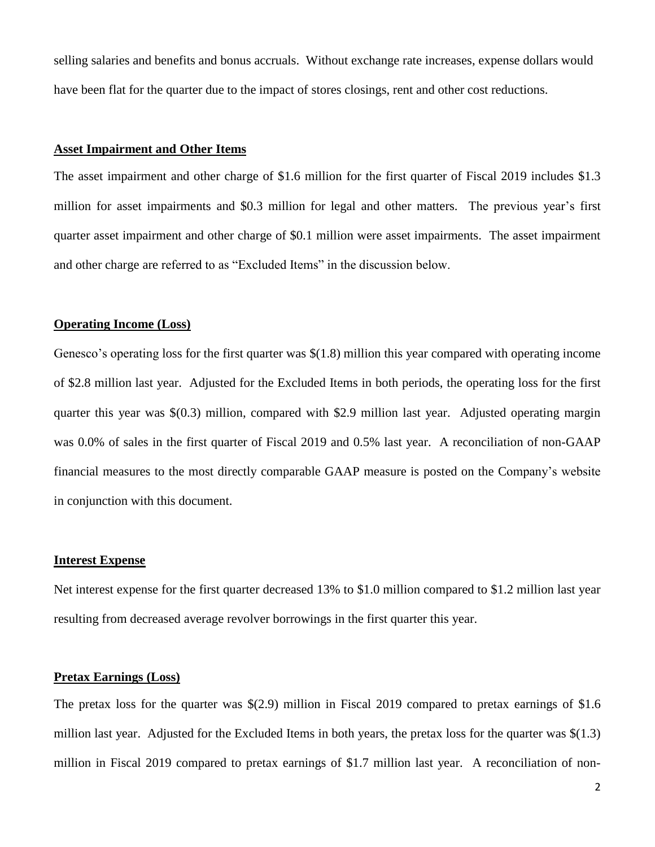selling salaries and benefits and bonus accruals. Without exchange rate increases, expense dollars would have been flat for the quarter due to the impact of stores closings, rent and other cost reductions.

## **Asset Impairment and Other Items**

The asset impairment and other charge of \$1.6 million for the first quarter of Fiscal 2019 includes \$1.3 million for asset impairments and \$0.3 million for legal and other matters. The previous year's first quarter asset impairment and other charge of \$0.1 million were asset impairments. The asset impairment and other charge are referred to as "Excluded Items" in the discussion below.

### **Operating Income (Loss)**

Genesco's operating loss for the first quarter was \$(1.8) million this year compared with operating income of \$2.8 million last year. Adjusted for the Excluded Items in both periods, the operating loss for the first quarter this year was \$(0.3) million, compared with \$2.9 million last year. Adjusted operating margin was 0.0% of sales in the first quarter of Fiscal 2019 and 0.5% last year. A reconciliation of non-GAAP financial measures to the most directly comparable GAAP measure is posted on the Company's website in conjunction with this document.

### **Interest Expense**

Net interest expense for the first quarter decreased 13% to \$1.0 million compared to \$1.2 million last year resulting from decreased average revolver borrowings in the first quarter this year.

## **Pretax Earnings (Loss)**

The pretax loss for the quarter was \$(2.9) million in Fiscal 2019 compared to pretax earnings of \$1.6 million last year. Adjusted for the Excluded Items in both years, the pretax loss for the quarter was \$(1.3) million in Fiscal 2019 compared to pretax earnings of \$1.7 million last year. A reconciliation of non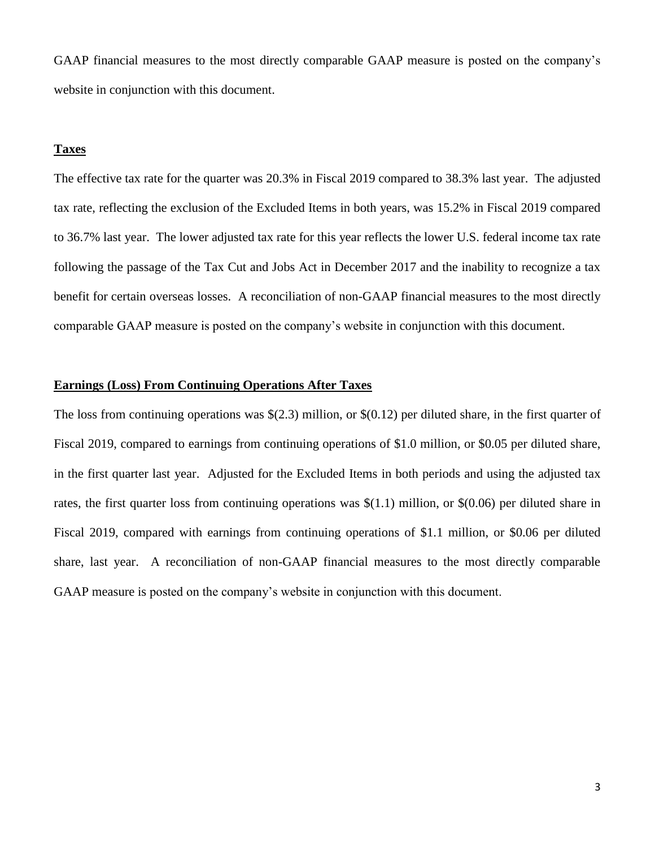GAAP financial measures to the most directly comparable GAAP measure is posted on the company's website in conjunction with this document.

### **Taxes**

The effective tax rate for the quarter was 20.3% in Fiscal 2019 compared to 38.3% last year. The adjusted tax rate, reflecting the exclusion of the Excluded Items in both years, was 15.2% in Fiscal 2019 compared to 36.7% last year. The lower adjusted tax rate for this year reflects the lower U.S. federal income tax rate following the passage of the Tax Cut and Jobs Act in December 2017 and the inability to recognize a tax benefit for certain overseas losses. A reconciliation of non-GAAP financial measures to the most directly comparable GAAP measure is posted on the company's website in conjunction with this document.

### **Earnings (Loss) From Continuing Operations After Taxes**

The loss from continuing operations was  $\S(2.3)$  million, or  $\S(0.12)$  per diluted share, in the first quarter of Fiscal 2019, compared to earnings from continuing operations of \$1.0 million, or \$0.05 per diluted share, in the first quarter last year. Adjusted for the Excluded Items in both periods and using the adjusted tax rates, the first quarter loss from continuing operations was \$(1.1) million, or \$(0.06) per diluted share in Fiscal 2019, compared with earnings from continuing operations of \$1.1 million, or \$0.06 per diluted share, last year. A reconciliation of non-GAAP financial measures to the most directly comparable GAAP measure is posted on the company's website in conjunction with this document.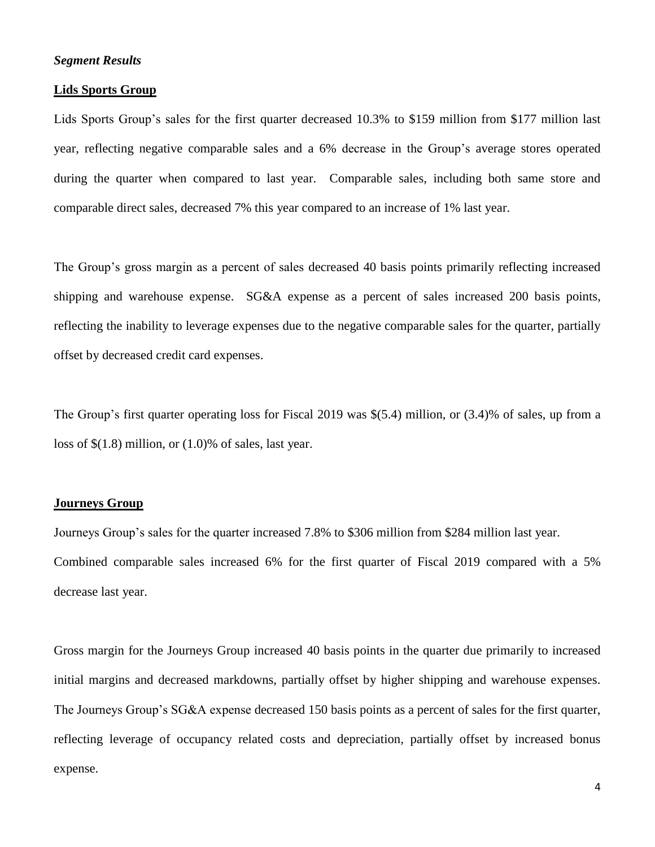### *Segment Results*

#### **Lids Sports Group**

Lids Sports Group's sales for the first quarter decreased 10.3% to \$159 million from \$177 million last year, reflecting negative comparable sales and a 6% decrease in the Group's average stores operated during the quarter when compared to last year. Comparable sales, including both same store and comparable direct sales, decreased 7% this year compared to an increase of 1% last year.

The Group's gross margin as a percent of sales decreased 40 basis points primarily reflecting increased shipping and warehouse expense. SG&A expense as a percent of sales increased 200 basis points, reflecting the inability to leverage expenses due to the negative comparable sales for the quarter, partially offset by decreased credit card expenses.

The Group's first quarter operating loss for Fiscal 2019 was \$(5.4) million, or (3.4)% of sales, up from a loss of \$(1.8) million, or (1.0)% of sales, last year.

### **Journeys Group**

Journeys Group's sales for the quarter increased 7.8% to \$306 million from \$284 million last year. Combined comparable sales increased 6% for the first quarter of Fiscal 2019 compared with a 5% decrease last year.

Gross margin for the Journeys Group increased 40 basis points in the quarter due primarily to increased initial margins and decreased markdowns, partially offset by higher shipping and warehouse expenses. The Journeys Group's SG&A expense decreased 150 basis points as a percent of sales for the first quarter, reflecting leverage of occupancy related costs and depreciation, partially offset by increased bonus expense.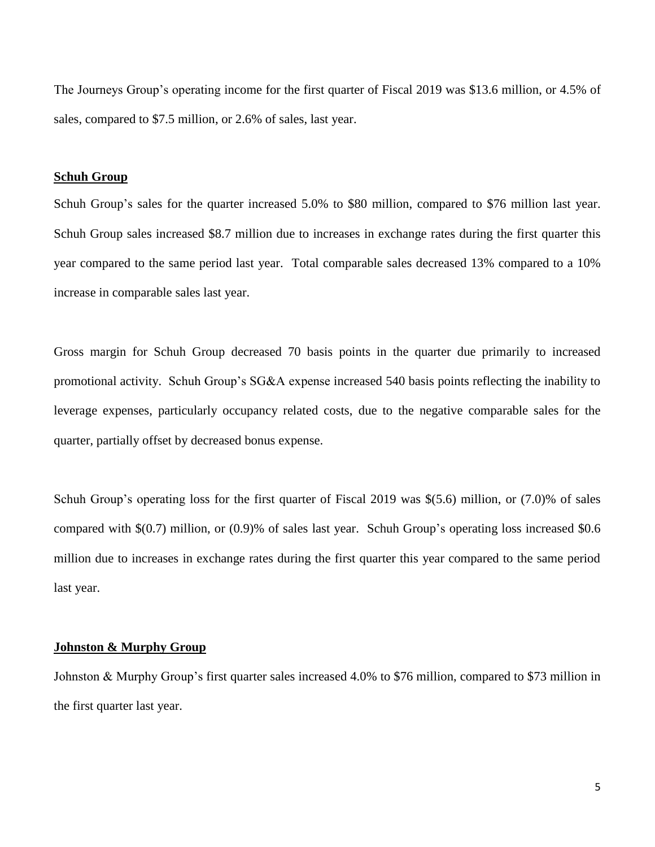The Journeys Group's operating income for the first quarter of Fiscal 2019 was \$13.6 million, or 4.5% of sales, compared to \$7.5 million, or 2.6% of sales, last year.

## **Schuh Group**

Schuh Group's sales for the quarter increased 5.0% to \$80 million, compared to \$76 million last year. Schuh Group sales increased \$8.7 million due to increases in exchange rates during the first quarter this year compared to the same period last year. Total comparable sales decreased 13% compared to a 10% increase in comparable sales last year.

Gross margin for Schuh Group decreased 70 basis points in the quarter due primarily to increased promotional activity. Schuh Group's SG&A expense increased 540 basis points reflecting the inability to leverage expenses, particularly occupancy related costs, due to the negative comparable sales for the quarter, partially offset by decreased bonus expense.

Schuh Group's operating loss for the first quarter of Fiscal 2019 was \$(5.6) million, or (7.0)% of sales compared with \$(0.7) million, or (0.9)% of sales last year. Schuh Group's operating loss increased \$0.6 million due to increases in exchange rates during the first quarter this year compared to the same period last year.

### **Johnston & Murphy Group**

Johnston & Murphy Group's first quarter sales increased 4.0% to \$76 million, compared to \$73 million in the first quarter last year.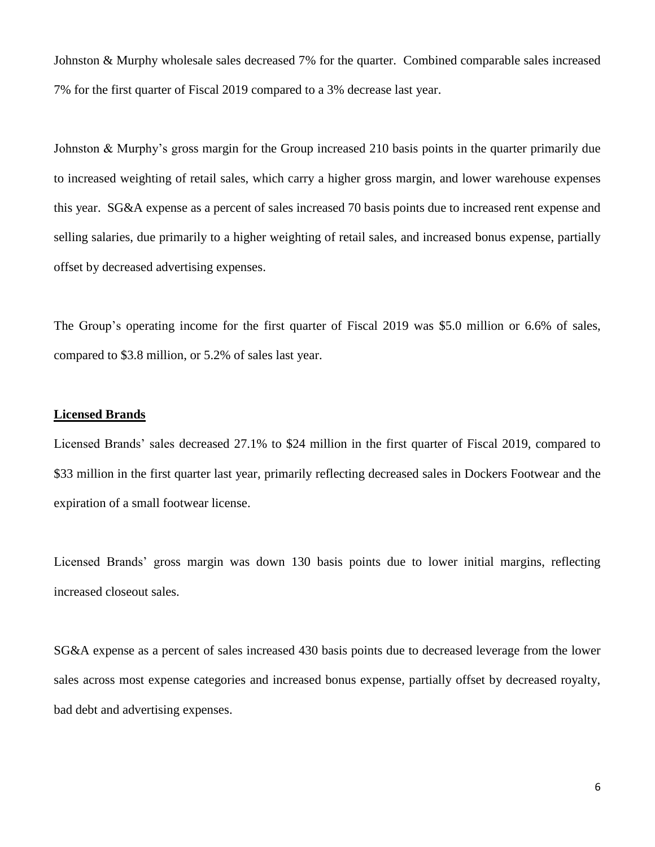Johnston & Murphy wholesale sales decreased 7% for the quarter. Combined comparable sales increased 7% for the first quarter of Fiscal 2019 compared to a 3% decrease last year.

Johnston & Murphy's gross margin for the Group increased 210 basis points in the quarter primarily due to increased weighting of retail sales, which carry a higher gross margin, and lower warehouse expenses this year. SG&A expense as a percent of sales increased 70 basis points due to increased rent expense and selling salaries, due primarily to a higher weighting of retail sales, and increased bonus expense, partially offset by decreased advertising expenses.

The Group's operating income for the first quarter of Fiscal 2019 was \$5.0 million or 6.6% of sales, compared to \$3.8 million, or 5.2% of sales last year.

### **Licensed Brands**

Licensed Brands' sales decreased 27.1% to \$24 million in the first quarter of Fiscal 2019, compared to \$33 million in the first quarter last year, primarily reflecting decreased sales in Dockers Footwear and the expiration of a small footwear license.

Licensed Brands' gross margin was down 130 basis points due to lower initial margins, reflecting increased closeout sales.

SG&A expense as a percent of sales increased 430 basis points due to decreased leverage from the lower sales across most expense categories and increased bonus expense, partially offset by decreased royalty, bad debt and advertising expenses.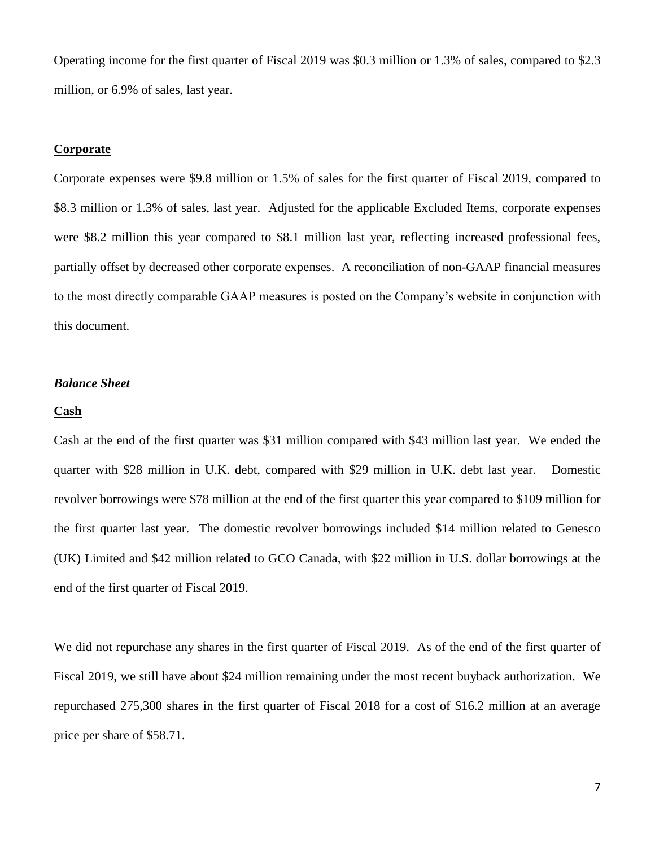Operating income for the first quarter of Fiscal 2019 was \$0.3 million or 1.3% of sales, compared to \$2.3 million, or 6.9% of sales, last year.

### **Corporate**

Corporate expenses were \$9.8 million or 1.5% of sales for the first quarter of Fiscal 2019, compared to \$8.3 million or 1.3% of sales, last year. Adjusted for the applicable Excluded Items, corporate expenses were \$8.2 million this year compared to \$8.1 million last year, reflecting increased professional fees, partially offset by decreased other corporate expenses. A reconciliation of non-GAAP financial measures to the most directly comparable GAAP measures is posted on the Company's website in conjunction with this document.

### *Balance Sheet*

### **Cash**

Cash at the end of the first quarter was \$31 million compared with \$43 million last year. We ended the quarter with \$28 million in U.K. debt, compared with \$29 million in U.K. debt last year. Domestic revolver borrowings were \$78 million at the end of the first quarter this year compared to \$109 million for the first quarter last year. The domestic revolver borrowings included \$14 million related to Genesco (UK) Limited and \$42 million related to GCO Canada, with \$22 million in U.S. dollar borrowings at the end of the first quarter of Fiscal 2019.

We did not repurchase any shares in the first quarter of Fiscal 2019. As of the end of the first quarter of Fiscal 2019, we still have about \$24 million remaining under the most recent buyback authorization. We repurchased 275,300 shares in the first quarter of Fiscal 2018 for a cost of \$16.2 million at an average price per share of \$58.71.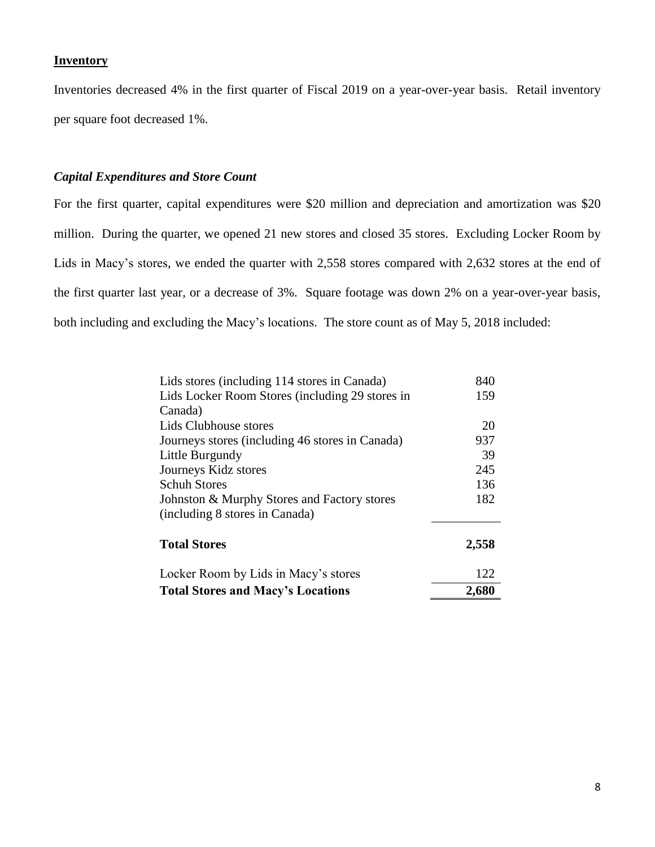## **Inventory**

Inventories decreased 4% in the first quarter of Fiscal 2019 on a year-over-year basis. Retail inventory per square foot decreased 1%.

## *Capital Expenditures and Store Count*

For the first quarter, capital expenditures were \$20 million and depreciation and amortization was \$20 million. During the quarter, we opened 21 new stores and closed 35 stores. Excluding Locker Room by Lids in Macy's stores, we ended the quarter with 2,558 stores compared with 2,632 stores at the end of the first quarter last year, or a decrease of 3%. Square footage was down 2% on a year-over-year basis, both including and excluding the Macy's locations. The store count as of May 5, 2018 included:

| <b>Total Stores and Macy's Locations</b>        | 2,680 |
|-------------------------------------------------|-------|
| Locker Room by Lids in Macy's stores            | 122   |
| <b>Total Stores</b>                             | 2,558 |
| (including 8 stores in Canada)                  |       |
| Johnston & Murphy Stores and Factory stores     | 182   |
| <b>Schuh Stores</b>                             | 136   |
| Journeys Kidz stores                            | 245   |
| Little Burgundy                                 | 39    |
| Journeys stores (including 46 stores in Canada) | 937   |
| Lids Clubhouse stores                           | 20    |
| Canada)                                         |       |
| Lids Locker Room Stores (including 29 stores in | 159   |
| Lids stores (including 114 stores in Canada)    | 840   |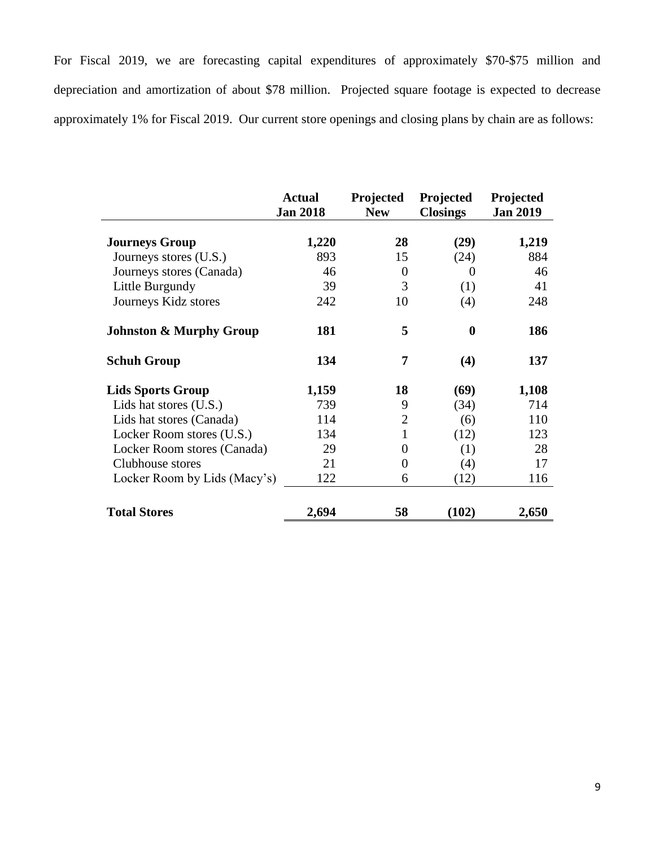For Fiscal 2019, we are forecasting capital expenditures of approximately \$70-\$75 million and depreciation and amortization of about \$78 million. Projected square footage is expected to decrease approximately 1% for Fiscal 2019. Our current store openings and closing plans by chain are as follows:

|                                    | <b>Actual</b><br><b>Jan 2018</b> | Projected<br><b>New</b> | Projected<br><b>Closings</b> | Projected<br><b>Jan 2019</b> |
|------------------------------------|----------------------------------|-------------------------|------------------------------|------------------------------|
|                                    |                                  |                         |                              |                              |
| <b>Journeys Group</b>              | 1,220                            | 28                      | (29)                         | 1,219                        |
| Journeys stores (U.S.)             | 893                              | 15                      | (24)                         | 884                          |
| Journeys stores (Canada)           | 46                               | $\overline{0}$          | 0                            | 46                           |
| Little Burgundy                    | 39                               | 3                       | (1)                          | 41                           |
| Journeys Kidz stores               | 242                              | 10                      | (4)                          | 248                          |
| <b>Johnston &amp; Murphy Group</b> | 181                              | 5                       | $\bf{0}$                     | 186                          |
| <b>Schuh Group</b>                 | 134                              | 7                       | (4)                          | 137                          |
| <b>Lids Sports Group</b>           | 1,159                            | 18                      | (69)                         | 1,108                        |
| Lids hat stores (U.S.)             | 739                              | 9                       | (34)                         | 714                          |
| Lids hat stores (Canada)           | 114                              | $\overline{2}$          | (6)                          | 110                          |
| Locker Room stores (U.S.)          | 134                              | 1                       | (12)                         | 123                          |
| Locker Room stores (Canada)        | 29                               | 0                       | (1)                          | 28                           |
| Clubhouse stores                   | 21                               | $\overline{0}$          | (4)                          | 17                           |
| Locker Room by Lids (Macy's)       | 122                              | 6                       | (12)                         | 116                          |
| <b>Total Stores</b>                | 2,694                            | 58                      | (102)                        | 2,650                        |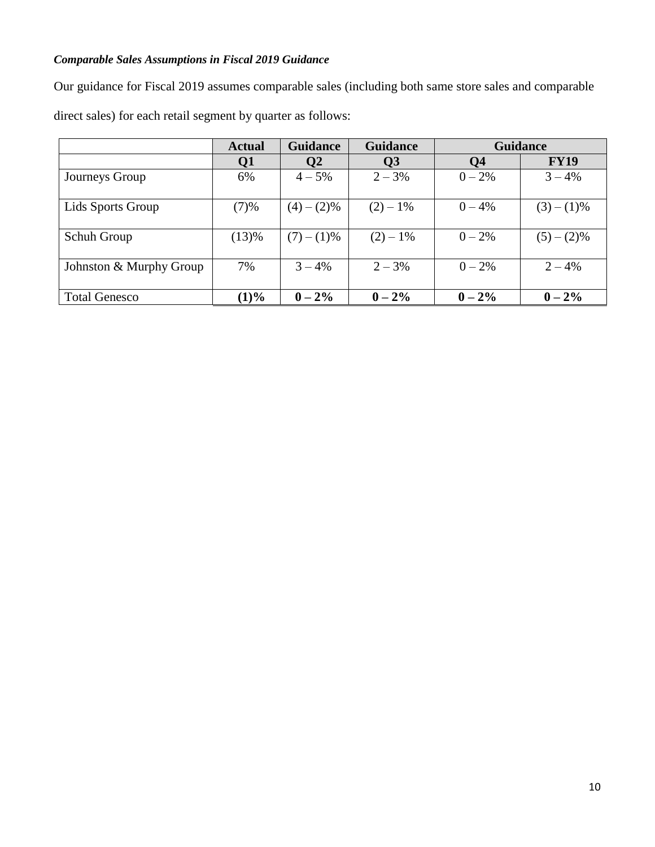# *Comparable Sales Assumptions in Fiscal 2019 Guidance*

Our guidance for Fiscal 2019 assumes comparable sales (including both same store sales and comparable direct sales) for each retail segment by quarter as follows:

|                         | <b>Actual</b> | <b>Guidance</b> | <b>Guidance</b> | <b>Guidance</b> |             |
|-------------------------|---------------|-----------------|-----------------|-----------------|-------------|
|                         | Q1            | $\overline{Q}2$ | $\overline{Q}3$ | Q <sub>4</sub>  | <b>FY19</b> |
| Journeys Group          | 6%            | $4 - 5\%$       | $2 - 3\%$       | $0 - 2\%$       | $3 - 4%$    |
| Lids Sports Group       | (7)%          | $(4)-(2)\%$     | $(2) - 1\%$     | $0 - 4\%$       | $(3)-(1)\%$ |
| Schuh Group             | (13)%         | $(7)-(1)\%$     | $(2) - 1\%$     | $0 - 2\%$       | $(5)-(2)\%$ |
| Johnston & Murphy Group | 7%            | $3 - 4\%$       | $2 - 3\%$       | $0 - 2\%$       | $2 - 4%$    |
| <b>Total Genesco</b>    | (1)%          | $0 - 2\%$       | $0 - 2\%$       | $0 - 2\%$       | $0 - 2\%$   |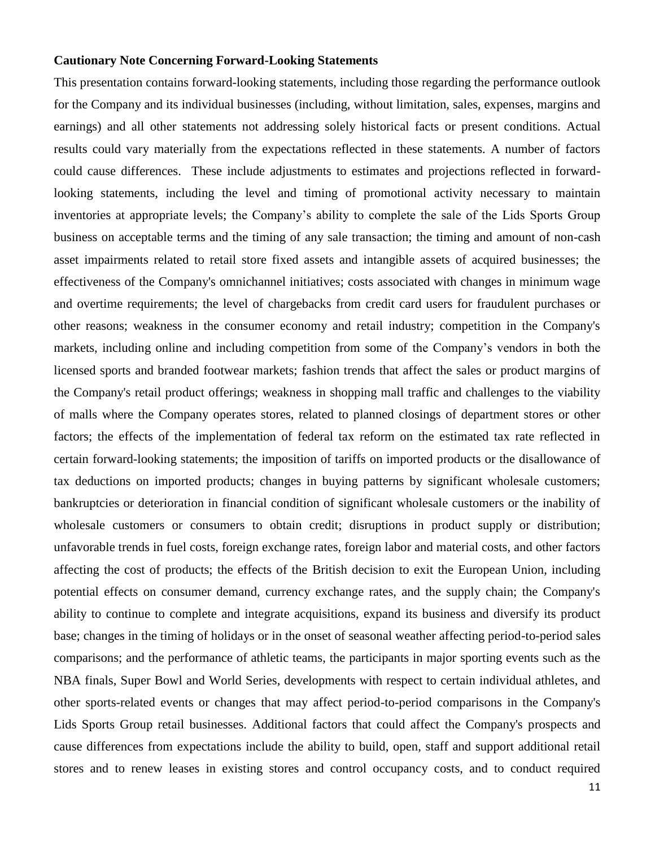### **Cautionary Note Concerning Forward-Looking Statements**

This presentation contains forward-looking statements, including those regarding the performance outlook for the Company and its individual businesses (including, without limitation, sales, expenses, margins and earnings) and all other statements not addressing solely historical facts or present conditions. Actual results could vary materially from the expectations reflected in these statements. A number of factors could cause differences. These include adjustments to estimates and projections reflected in forwardlooking statements, including the level and timing of promotional activity necessary to maintain inventories at appropriate levels; the Company's ability to complete the sale of the Lids Sports Group business on acceptable terms and the timing of any sale transaction; the timing and amount of non-cash asset impairments related to retail store fixed assets and intangible assets of acquired businesses; the effectiveness of the Company's omnichannel initiatives; costs associated with changes in minimum wage and overtime requirements; the level of chargebacks from credit card users for fraudulent purchases or other reasons; weakness in the consumer economy and retail industry; competition in the Company's markets, including online and including competition from some of the Company's vendors in both the licensed sports and branded footwear markets; fashion trends that affect the sales or product margins of the Company's retail product offerings; weakness in shopping mall traffic and challenges to the viability of malls where the Company operates stores, related to planned closings of department stores or other factors; the effects of the implementation of federal tax reform on the estimated tax rate reflected in certain forward-looking statements; the imposition of tariffs on imported products or the disallowance of tax deductions on imported products; changes in buying patterns by significant wholesale customers; bankruptcies or deterioration in financial condition of significant wholesale customers or the inability of wholesale customers or consumers to obtain credit; disruptions in product supply or distribution; unfavorable trends in fuel costs, foreign exchange rates, foreign labor and material costs, and other factors affecting the cost of products; the effects of the British decision to exit the European Union, including potential effects on consumer demand, currency exchange rates, and the supply chain; the Company's ability to continue to complete and integrate acquisitions, expand its business and diversify its product base; changes in the timing of holidays or in the onset of seasonal weather affecting period-to-period sales comparisons; and the performance of athletic teams, the participants in major sporting events such as the NBA finals, Super Bowl and World Series, developments with respect to certain individual athletes, and other sports-related events or changes that may affect period-to-period comparisons in the Company's Lids Sports Group retail businesses. Additional factors that could affect the Company's prospects and cause differences from expectations include the ability to build, open, staff and support additional retail stores and to renew leases in existing stores and control occupancy costs, and to conduct required